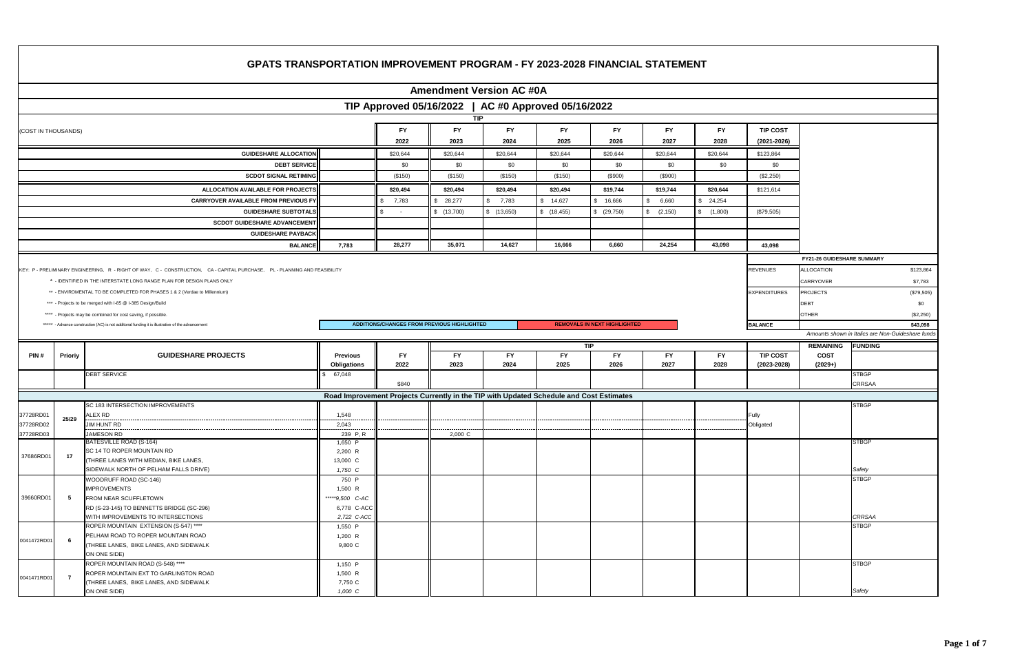|                        |                |                                                                                                                            |                                |                                                                                         |                   |                                 |                   |                                     | <b>GPATS TRANSPORTATION IMPROVEMENT PROGRAM - FY 2023-2028 FINANCIAL STATEMENT</b> |             |                                    |                            |                                                   |             |
|------------------------|----------------|----------------------------------------------------------------------------------------------------------------------------|--------------------------------|-----------------------------------------------------------------------------------------|-------------------|---------------------------------|-------------------|-------------------------------------|------------------------------------------------------------------------------------|-------------|------------------------------------|----------------------------|---------------------------------------------------|-------------|
|                        |                |                                                                                                                            |                                |                                                                                         |                   | <b>Amendment Version AC #0A</b> |                   |                                     |                                                                                    |             |                                    |                            |                                                   |             |
|                        |                |                                                                                                                            |                                | TIP Approved 05/16/2022   AC #0 Approved 05/16/2022                                     |                   |                                 |                   |                                     |                                                                                    |             |                                    |                            |                                                   |             |
|                        |                |                                                                                                                            |                                |                                                                                         | <b>TIP</b>        |                                 |                   |                                     |                                                                                    |             |                                    |                            |                                                   |             |
| (COST IN THOUSANDS)    |                |                                                                                                                            |                                | <b>FY</b>                                                                               | <b>FY</b>         | FY.                             | FY.               | <b>FY</b>                           | FY.                                                                                | <b>FY</b>   | <b>TIP COST</b>                    |                            |                                                   |             |
|                        |                |                                                                                                                            |                                | 2022                                                                                    | 2023              | 2024                            | 2025              | 2026                                | 2027                                                                               | 2028        | $(2021 - 2026)$                    |                            |                                                   |             |
|                        |                | <b>GUIDESHARE ALLOCATION</b>                                                                                               |                                | \$20,644                                                                                | \$20,644          | \$20,644                        | \$20,644          | \$20,644                            | \$20,644                                                                           | \$20,644    | \$123,864                          |                            |                                                   |             |
|                        |                | <b>DEBT SERVICE</b>                                                                                                        |                                | \$0                                                                                     | \$0               | \$0                             | \$0               | \$0                                 | \$0                                                                                | \$0         | \$0                                |                            |                                                   |             |
|                        |                | <b>SCDOT SIGNAL RETIMING</b>                                                                                               |                                | (\$150)                                                                                 | (\$150)           | (\$150)                         | (\$150)           | (\$900)                             | (\$900)                                                                            |             | $(\$2,250)$                        |                            |                                                   |             |
|                        |                | ALLOCATION AVAILABLE FOR PROJECTS                                                                                          |                                | \$20,494                                                                                | \$20,494          | \$20,494                        | \$20,494          | \$19,744                            | \$19,744                                                                           | \$20,644    | \$121,614                          |                            |                                                   |             |
|                        |                | <b>CARRYOVER AVAILABLE FROM PREVIOUS FY</b>                                                                                |                                | 7,783                                                                                   | \$28,277          | 7,783<br>$\mathbf{R}$           | \$14,627          | \$16,666                            | 6,660<br>$\hat{\mathbf{r}}$                                                        | \$24,254    |                                    |                            |                                                   |             |
|                        |                | <b>GUIDESHARE SUBTOTALS</b>                                                                                                |                                |                                                                                         | \$(13,700)        | \$(13,650)                      | \$(18, 455)       | (29,750)                            | (2, 150)                                                                           | \$(1,800)   | (\$79,505)                         |                            |                                                   |             |
|                        |                | <b>SCDOT GUIDESHARE ADVANCEMENT</b>                                                                                        |                                |                                                                                         |                   |                                 |                   |                                     |                                                                                    |             |                                    |                            |                                                   |             |
|                        |                | <b>GUIDESHARE PAYBACK</b>                                                                                                  |                                |                                                                                         |                   |                                 |                   |                                     |                                                                                    |             |                                    |                            |                                                   |             |
|                        |                | <b>BALANCE</b>                                                                                                             | 7,783                          | 28,277                                                                                  | 35,071            | 14,627                          | 16,666            | 6,660                               | 24,254                                                                             | 43,098      | 43,098                             |                            |                                                   |             |
|                        |                |                                                                                                                            |                                |                                                                                         |                   |                                 |                   |                                     |                                                                                    |             |                                    | FY21-26 GUIDESHARE SUMMARY |                                                   |             |
|                        |                | KEY: P - PRELIMINARY ENGINEERING, R - RIGHT OF WAY, C - CONSTRUCTION, CA - CAPITAL PURCHASE, PL - PLANNING AND FEASIBILITY |                                |                                                                                         |                   |                                 |                   |                                     |                                                                                    |             | <b>REVENUES</b>                    | <b>ALLOCATION</b>          |                                                   | \$123,864   |
|                        |                | $^\star\,$ - IDENTIFIED IN THE INTERSTATE LONG RANGE PLAN FOR DESIGN PLANS ONLY                                            |                                |                                                                                         |                   |                                 |                   |                                     |                                                                                    |             |                                    | CARRYOVER                  |                                                   | \$7,783     |
|                        |                | ** - ENVIROMENTAL TO BE COMPLETED FOR PHASES 1 & 2 (Verdae to Millennium)                                                  |                                |                                                                                         |                   |                                 |                   |                                     |                                                                                    |             | <b>EXPENDITURES</b>                | <b>PROJECTS</b>            |                                                   | (\$79,505)  |
|                        |                | *** - Projects to be merged with I-85 @ I-385 Design/Build                                                                 |                                |                                                                                         |                   |                                 |                   |                                     |                                                                                    |             |                                    | <b>DEBT</b>                |                                                   | \$0         |
|                        |                | **** - Projects may be combined for cost saving, if possible.                                                              |                                |                                                                                         |                   |                                 |                   |                                     |                                                                                    |             |                                    | <b>OTHER</b>               |                                                   | $(\$2,250)$ |
|                        |                | ***** - Advance construction (AC) is not additonal funding it is illustrative of the advancement                           |                                | ADDITIONS/CHANGES FROM PREVIOUS HIGHLIGHTED                                             |                   |                                 |                   | <b>REMOVALS IN NEXT HIGHLIGHTED</b> |                                                                                    |             | <b>BALANCE</b>                     |                            | Amounts shown in Italics are Non-Guideshare funds | \$43,098    |
|                        |                |                                                                                                                            |                                |                                                                                         |                   |                                 |                   |                                     |                                                                                    |             |                                    |                            |                                                   |             |
|                        |                |                                                                                                                            |                                |                                                                                         |                   |                                 |                   |                                     |                                                                                    |             |                                    |                            |                                                   |             |
|                        |                |                                                                                                                            |                                |                                                                                         |                   |                                 |                   | TIP                                 |                                                                                    |             |                                    | <b>REMAINING</b>           | <b>FUNDING</b>                                    |             |
| PIN#                   | Prioriy        | <b>GUIDESHARE PROJECTS</b>                                                                                                 | <b>Previous</b><br>Obligations | <b>FY</b><br>2022                                                                       | <b>FY</b><br>2023 | <b>FY</b><br>2024               | <b>FY</b><br>2025 | <b>FY</b><br>2026                   | <b>FY</b><br>2027                                                                  | FY.<br>2028 | <b>TIP COST</b><br>$(2023 - 2028)$ | <b>COST</b><br>$(2029+)$   |                                                   |             |
|                        |                | <b>DEBT SERVICE</b>                                                                                                        | 67,048                         |                                                                                         |                   |                                 |                   |                                     |                                                                                    |             |                                    |                            | <b>STBGP</b>                                      |             |
|                        |                |                                                                                                                            |                                | \$840                                                                                   |                   |                                 |                   |                                     |                                                                                    |             |                                    |                            | <b>CRRSAA</b>                                     |             |
|                        |                |                                                                                                                            |                                | Road Improvement Projects Currently in the TIP with Updated Schedule and Cost Estimates |                   |                                 |                   |                                     |                                                                                    |             |                                    |                            |                                                   |             |
|                        |                | SC 183 INTERSECTION IMPROVEMENTS                                                                                           |                                |                                                                                         |                   |                                 |                   |                                     |                                                                                    |             |                                    |                            | <b>STBGP</b>                                      |             |
| 37728RD01<br>37728RD02 | 25/29          | ALEX RD<br>JIM HUNT RD                                                                                                     | 1,548<br>2,043                 |                                                                                         |                   |                                 |                   |                                     |                                                                                    |             | Fully<br>Obligated                 |                            |                                                   |             |
| 37728RD03              |                | JAMESON RD                                                                                                                 | 239 P, R                       |                                                                                         | 2,000 C           |                                 |                   |                                     |                                                                                    |             |                                    |                            |                                                   |             |
|                        |                | BATESVILLE ROAD (S-164)                                                                                                    | 1,650 P                        |                                                                                         |                   |                                 |                   |                                     |                                                                                    |             |                                    |                            | <b>STBGP</b>                                      |             |
| 37686RD01              | 17             | SC 14 TO ROPER MOUNTAIN RD                                                                                                 | 2,200 R                        |                                                                                         |                   |                                 |                   |                                     |                                                                                    |             |                                    |                            |                                                   |             |
|                        |                | (THREE LANES WITH MEDIAN, BIKE LANES,<br>SIDEWALK NORTH OF PELHAM FALLS DRIVE)                                             | 13,000 C<br>1,750 C            |                                                                                         |                   |                                 |                   |                                     |                                                                                    |             |                                    |                            | Safety                                            |             |
|                        |                | WOODRUFF ROAD (SC-146)                                                                                                     | 750 P                          |                                                                                         |                   |                                 |                   |                                     |                                                                                    |             |                                    |                            | <b>STBGP</b>                                      |             |
|                        |                | <b>IMPROVEMENTS</b>                                                                                                        | 1,500 R                        |                                                                                         |                   |                                 |                   |                                     |                                                                                    |             |                                    |                            |                                                   |             |
| 39660RD01              | 5              | FROM NEAR SCUFFLETOWN                                                                                                      | *****9,500 C-AC                |                                                                                         |                   |                                 |                   |                                     |                                                                                    |             |                                    |                            |                                                   |             |
|                        |                | RD (S-23-145) TO BENNETTS BRIDGE (SC-296)                                                                                  | 6,778 C-ACC                    |                                                                                         |                   |                                 |                   |                                     |                                                                                    |             |                                    |                            | <b>CRRSAA</b>                                     |             |
|                        |                | WITH IMPROVEMENTS TO INTERSECTIONS<br>ROPER MOUNTAIN EXTENSION (S-547) ****                                                | 2,722 C-ACC<br>1,550 P         |                                                                                         |                   |                                 |                   |                                     |                                                                                    |             |                                    |                            | <b>STBGP</b>                                      |             |
|                        |                | PELHAM ROAD TO ROPER MOUNTAIN ROAD                                                                                         | $1,200$ R                      |                                                                                         |                   |                                 |                   |                                     |                                                                                    |             |                                    |                            |                                                   |             |
| 0041472RD01            | 6              | (THREE LANES, BIKE LANES, AND SIDEWALK                                                                                     | 9,800 C                        |                                                                                         |                   |                                 |                   |                                     |                                                                                    |             |                                    |                            |                                                   |             |
|                        |                | ON ONE SIDE)                                                                                                               |                                |                                                                                         |                   |                                 |                   |                                     |                                                                                    |             |                                    |                            |                                                   |             |
|                        |                | ROPER MOUNTAIN ROAD (S-548) ****                                                                                           | 1,150 P                        |                                                                                         |                   |                                 |                   |                                     |                                                                                    |             |                                    |                            | <b>STBGP</b>                                      |             |
| 0041471RD01            | $\overline{7}$ | ROPER MOUNTAIN EXT TO GARLINGTON ROAD<br>(THREE LANES, BIKE LANES, AND SIDEWALK                                            | $1,500$ R<br>7,750 C           |                                                                                         |                   |                                 |                   |                                     |                                                                                    |             |                                    |                            |                                                   |             |

|             |                |                                           | opnganono        | - - - | $-0-0$  | - - -                                                                                   | $-0-0$ | $-0-0$ | $-0-0$ |       |
|-------------|----------------|-------------------------------------------|------------------|-------|---------|-----------------------------------------------------------------------------------------|--------|--------|--------|-------|
|             |                | <b>DEBT SERVICE</b>                       | \$67,048         | \$840 |         |                                                                                         |        |        |        |       |
|             |                |                                           |                  |       |         | Road Improvement Projects Currently in the TIP with Updated Schedule and Cost Estimates |        |        |        |       |
|             |                | SC 183 INTERSECTION IMPROVEMENTS          |                  |       |         |                                                                                         |        |        |        |       |
| 37728RD01   |                | ALEX RD                                   | 1.548            |       |         |                                                                                         |        |        |        | Fully |
| 37728RD02   | 25/29          | JIM HUNT RD                               | 2,043            |       |         |                                                                                         |        |        |        | Obli  |
| 37728RD03   |                | <b>JAMESON RD</b>                         | 239 P.R          |       | 2,000 C |                                                                                         |        |        |        |       |
|             |                | BATESVILLE ROAD (S-164)                   | 1,650 P          |       |         |                                                                                         |        |        |        |       |
|             |                | <b>SC 14 TO ROPER MOUNTAIN RD</b>         | 2,200 R          |       |         |                                                                                         |        |        |        |       |
| 37686RD01   | 17             | (THREE LANES WITH MEDIAN, BIKE LANES,     | 13,000 C         |       |         |                                                                                         |        |        |        |       |
|             |                | SIDEWALK NORTH OF PELHAM FALLS DRIVE)     | 1,750 C          |       |         |                                                                                         |        |        |        |       |
|             |                | WOODRUFF ROAD (SC-146)                    | 750 P            |       |         |                                                                                         |        |        |        |       |
|             |                | <b>IMPROVEMENTS</b>                       | 1,500 R          |       |         |                                                                                         |        |        |        |       |
| 39660RD01   | 5              | <b>FROM NEAR SCUFFLETOWN</b>              | *****9,500 C-AC  |       |         |                                                                                         |        |        |        |       |
|             |                | RD (S-23-145) TO BENNETTS BRIDGE (SC-296) | 6,778 C-ACC      |       |         |                                                                                         |        |        |        |       |
|             |                | WITH IMPROVEMENTS TO INTERSECTIONS        | 2,722 C-ACC      |       |         |                                                                                         |        |        |        |       |
|             |                | ROPER MOUNTAIN EXTENSION (S-547) ****     | 1,550 P          |       |         |                                                                                         |        |        |        |       |
|             |                | PELHAM ROAD TO ROPER MOUNTAIN ROAD        | 1,200 R          |       |         |                                                                                         |        |        |        |       |
| 0041472RD01 | 6              | (THREE LANES, BIKE LANES, AND SIDEWALK    | 9,800 C          |       |         |                                                                                         |        |        |        |       |
|             |                | ON ONE SIDE)                              |                  |       |         |                                                                                         |        |        |        |       |
|             |                | ROPER MOUNTAIN ROAD (S-548) ****          | 1,150 P          |       |         |                                                                                         |        |        |        |       |
|             | $\overline{z}$ | ROPER MOUNTAIN EXT TO GARLINGTON ROAD     | 1,500 R          |       |         |                                                                                         |        |        |        |       |
| 0041471RD01 |                | (THREE LANES, BIKE LANES, AND SIDEWALK    | 7,750 C          |       |         |                                                                                         |        |        |        |       |
|             |                | ON ONE SIDE)                              | $1.000\text{ C}$ |       |         |                                                                                         |        |        |        |       |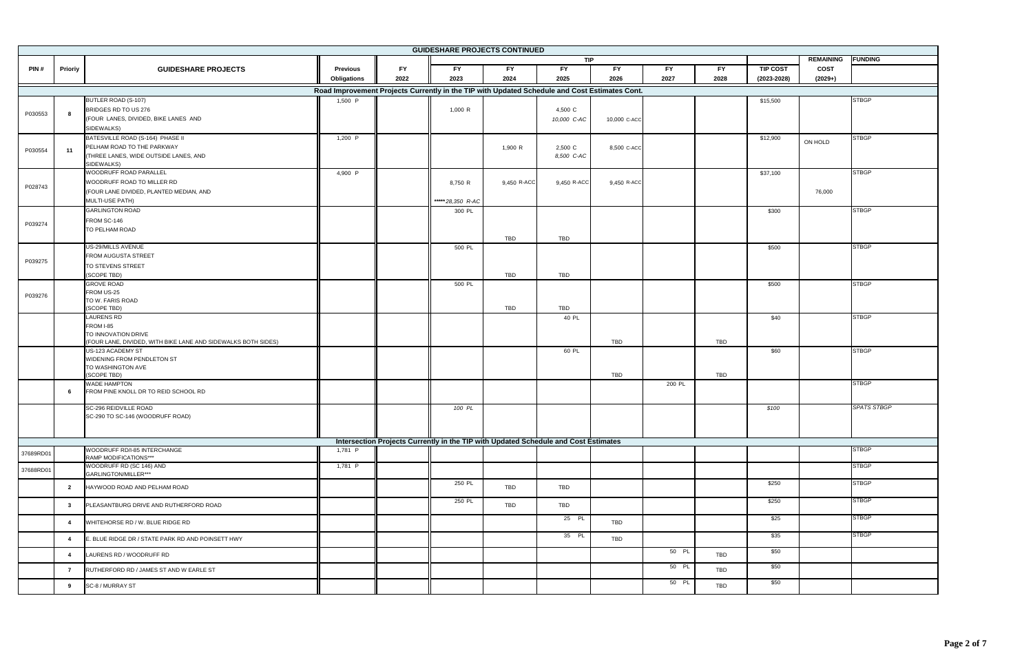| <b>GUIDESHARE PROJECTS CONTINUED</b> |                |                                                               |                                                                                               |           |                  |                                                                                     |             |              |           |            |                 |                  |                    |
|--------------------------------------|----------------|---------------------------------------------------------------|-----------------------------------------------------------------------------------------------|-----------|------------------|-------------------------------------------------------------------------------------|-------------|--------------|-----------|------------|-----------------|------------------|--------------------|
|                                      |                |                                                               |                                                                                               |           |                  |                                                                                     | TIP         |              |           |            |                 | <b>REMAINING</b> | <b>FUNDING</b>     |
| PIN#                                 | Prioriy        | <b>GUIDESHARE PROJECTS</b>                                    | <b>Previous</b>                                                                               | <b>FY</b> | <b>FY</b>        | <b>FY</b>                                                                           | <b>FY</b>   | <b>FY</b>    | <b>FY</b> | <b>FY</b>  | <b>TIP COST</b> | <b>COST</b>      |                    |
|                                      |                |                                                               | <b>Obligations</b>                                                                            | 2022      | 2023             | 2024                                                                                | 2025        | 2026         | 2027      | 2028       | $(2023 - 2028)$ | $(2029+)$        |                    |
|                                      |                |                                                               | Road Improvement Projects Currently in the TIP with Updated Schedule and Cost Estimates Cont. |           |                  |                                                                                     |             |              |           |            |                 |                  |                    |
|                                      |                |                                                               |                                                                                               |           |                  |                                                                                     |             |              |           |            |                 |                  |                    |
|                                      |                | BUTLER ROAD (S-107)                                           | 1,500 P                                                                                       |           |                  |                                                                                     |             |              |           |            | \$15,500        |                  | <b>STBGP</b>       |
| P030553                              | 8              | BRIDGES RD TO US 276                                          |                                                                                               |           | 1,000 R          |                                                                                     | 4,500 C     |              |           |            |                 |                  |                    |
|                                      |                | (FOUR LANES, DIVIDED, BIKE LANES AND                          |                                                                                               |           |                  |                                                                                     | 10,000 C-AC | 10,000 C-ACC |           |            |                 |                  |                    |
|                                      |                | SIDEWALKS)                                                    |                                                                                               |           |                  |                                                                                     |             |              |           |            |                 |                  |                    |
|                                      |                | BATESVILLE ROAD (S-164) PHASE II                              | 1,200 P                                                                                       |           |                  |                                                                                     |             |              |           |            | \$12,900        | ON HOLD          | <b>STBGP</b>       |
| P030554                              | 11             | PELHAM ROAD TO THE PARKWAY                                    |                                                                                               |           |                  | 1,900 R                                                                             | 2,500 C     | 8,500 C-ACC  |           |            |                 |                  |                    |
|                                      |                | (THREE LANES, WIDE OUTSIDE LANES, AND                         |                                                                                               |           |                  |                                                                                     | 8,500 C-AC  |              |           |            |                 |                  |                    |
|                                      |                | SIDEWALKS)                                                    |                                                                                               |           |                  |                                                                                     |             |              |           |            |                 |                  |                    |
|                                      |                | WOODRUFF ROAD PARALLEL                                        | 4,900 P                                                                                       |           |                  |                                                                                     |             |              |           |            | \$37,100        |                  | <b>STBGP</b>       |
| P028743                              |                | WOODRUFF ROAD TO MILLER RD                                    |                                                                                               |           | 8,750 R          | 9,450 R-ACC                                                                         | 9,450 R-ACC | 9,450 R-ACC  |           |            |                 |                  |                    |
|                                      |                | (FOUR LANE DIVIDED, PLANTED MEDIAN, AND                       |                                                                                               |           |                  |                                                                                     |             |              |           |            |                 | 76,000           |                    |
|                                      |                | <b>MULTI-USE PATH)</b>                                        |                                                                                               |           | *****28,350 R-AC |                                                                                     |             |              |           |            |                 |                  |                    |
|                                      |                | <b>GARLINGTON ROAD</b>                                        |                                                                                               |           | 300 PL           |                                                                                     |             |              |           |            | \$300           |                  | <b>STBGP</b>       |
|                                      |                | FROM SC-146                                                   |                                                                                               |           |                  |                                                                                     |             |              |           |            |                 |                  |                    |
| P039274                              |                | TO PELHAM ROAD                                                |                                                                                               |           |                  |                                                                                     |             |              |           |            |                 |                  |                    |
|                                      |                |                                                               |                                                                                               |           |                  | TBD                                                                                 | TBD         |              |           |            |                 |                  |                    |
|                                      |                | US-29/MILLS AVENUE                                            |                                                                                               |           | 500 PL           |                                                                                     |             |              |           |            | \$500           |                  | <b>STBGP</b>       |
|                                      |                | FROM AUGUSTA STREET                                           |                                                                                               |           |                  |                                                                                     |             |              |           |            |                 |                  |                    |
| P039275                              |                | <b>TO STEVENS STREET</b>                                      |                                                                                               |           |                  |                                                                                     |             |              |           |            |                 |                  |                    |
|                                      |                | (SCOPE TBD)                                                   |                                                                                               |           |                  | TBD                                                                                 | TBD         |              |           |            |                 |                  |                    |
|                                      |                | <b>GROVE ROAD</b>                                             |                                                                                               |           | 500 PL           |                                                                                     |             |              |           |            | \$500           |                  | <b>STBGP</b>       |
|                                      |                | FROM US-25                                                    |                                                                                               |           |                  |                                                                                     |             |              |           |            |                 |                  |                    |
| P039276                              |                | TO W. FARIS ROAD                                              |                                                                                               |           |                  |                                                                                     |             |              |           |            |                 |                  |                    |
|                                      |                | (SCOPE TBD)                                                   |                                                                                               |           |                  | TBD                                                                                 | <b>TBD</b>  |              |           |            |                 |                  |                    |
|                                      |                | <b>LAURENS RD</b>                                             |                                                                                               |           |                  |                                                                                     | 40 PL       |              |           |            | \$40            |                  | <b>STBGP</b>       |
|                                      |                | FROM I-85                                                     |                                                                                               |           |                  |                                                                                     |             |              |           |            |                 |                  |                    |
|                                      |                | TO INNOVATION DRIVE                                           |                                                                                               |           |                  |                                                                                     |             |              |           |            |                 |                  |                    |
|                                      |                | (FOUR LANE, DIVIDED, WITH BIKE LANE AND SIDEWALKS BOTH SIDES) |                                                                                               |           |                  |                                                                                     |             | TBD          |           | TBD        |                 |                  |                    |
|                                      |                | US-123 ACADEMY ST                                             |                                                                                               |           |                  |                                                                                     | 60 PL       |              |           |            | \$60            |                  | <b>STBGP</b>       |
|                                      |                | WIDENING FROM PENDLETON ST                                    |                                                                                               |           |                  |                                                                                     |             |              |           |            |                 |                  |                    |
|                                      |                | TO WASHINGTON AVE<br>(SCOPE TBD)                              |                                                                                               |           |                  |                                                                                     |             | TBD          |           | TBD        |                 |                  |                    |
|                                      |                | <b>WADE HAMPTON</b>                                           |                                                                                               |           |                  |                                                                                     |             |              | 200 PL    |            |                 |                  | <b>STBGP</b>       |
|                                      | 6              | FROM PINE KNOLL DR TO REID SCHOOL RD                          |                                                                                               |           |                  |                                                                                     |             |              |           |            |                 |                  |                    |
|                                      |                |                                                               |                                                                                               |           |                  |                                                                                     |             |              |           |            |                 |                  |                    |
|                                      |                | SC-296 REIDVILLE ROAD                                         |                                                                                               |           | 100 PL           |                                                                                     |             |              |           |            | \$100           |                  | <b>SPATS STBGP</b> |
|                                      |                | SC-290 TO SC-146 (WOODRUFF ROAD)                              |                                                                                               |           |                  |                                                                                     |             |              |           |            |                 |                  |                    |
|                                      |                |                                                               |                                                                                               |           |                  |                                                                                     |             |              |           |            |                 |                  |                    |
|                                      |                |                                                               |                                                                                               |           |                  |                                                                                     |             |              |           |            |                 |                  |                    |
|                                      |                |                                                               |                                                                                               |           |                  | Intersection Projects Currently in the TIP with Updated Schedule and Cost Estimates |             |              |           |            |                 |                  |                    |
| 37689RD01                            |                | WOODRUFF RD/I-85 INTERCHANGE                                  | 1,781 P                                                                                       |           |                  |                                                                                     |             |              |           |            |                 |                  | <b>STBGP</b>       |
|                                      |                | RAMP MODIFICATIONS***<br>WOODRUFF RD (SC 146) AND             |                                                                                               |           |                  |                                                                                     |             |              |           |            |                 |                  | <b>STBGP</b>       |
| 37688RD01                            |                | GARLINGTON/MILLER***                                          | 1,781 P                                                                                       |           |                  |                                                                                     |             |              |           |            |                 |                  |                    |
|                                      |                |                                                               |                                                                                               |           | 250 PL           |                                                                                     |             |              |           |            | \$250           |                  | <b>STBGP</b>       |
|                                      | $\overline{2}$ | HAYWOOD ROAD AND PELHAM ROAD                                  |                                                                                               |           |                  | TBD                                                                                 | TBD         |              |           |            |                 |                  |                    |
|                                      |                |                                                               |                                                                                               |           | 250 PL           |                                                                                     |             |              |           |            | \$250           |                  | <b>STBGP</b>       |
|                                      | $3^{\circ}$    | PLEASANTBURG DRIVE AND RUTHERFORD ROAD                        |                                                                                               |           |                  | TBD                                                                                 | TBD         |              |           |            |                 |                  |                    |
|                                      |                |                                                               |                                                                                               |           |                  |                                                                                     | 25 PL       |              |           |            | \$25            |                  | <b>STBGP</b>       |
|                                      | 4              | WHITEHORSE RD / W. BLUE RIDGE RD                              |                                                                                               |           |                  |                                                                                     |             | TBD          |           |            |                 |                  |                    |
|                                      |                |                                                               |                                                                                               |           |                  |                                                                                     | 35 PL       |              |           |            | \$35            |                  | <b>STBGP</b>       |
|                                      | $\overline{4}$ | E. BLUE RIDGE DR / STATE PARK RD AND POINSETT HWY             |                                                                                               |           |                  |                                                                                     |             | TBD          |           |            |                 |                  |                    |
|                                      | $\overline{4}$ | LAURENS RD / WOODRUFF RD                                      |                                                                                               |           |                  |                                                                                     |             |              | 50 PL     | <b>TBD</b> | \$50            |                  |                    |
|                                      |                |                                                               |                                                                                               |           |                  |                                                                                     |             |              |           |            |                 |                  |                    |
|                                      | $\overline{7}$ | RUTHERFORD RD / JAMES ST AND W EARLE ST                       |                                                                                               |           |                  |                                                                                     |             |              | 50 PL     | TBD        | \$50            |                  |                    |
|                                      |                |                                                               |                                                                                               |           |                  |                                                                                     |             |              |           |            |                 |                  |                    |
|                                      | 9              | SC-8 / MURRAY ST                                              |                                                                                               |           |                  |                                                                                     |             |              | 50 PL     | TBD        | \$50            |                  |                    |
|                                      |                |                                                               |                                                                                               |           |                  |                                                                                     |             |              |           |            |                 |                  |                    |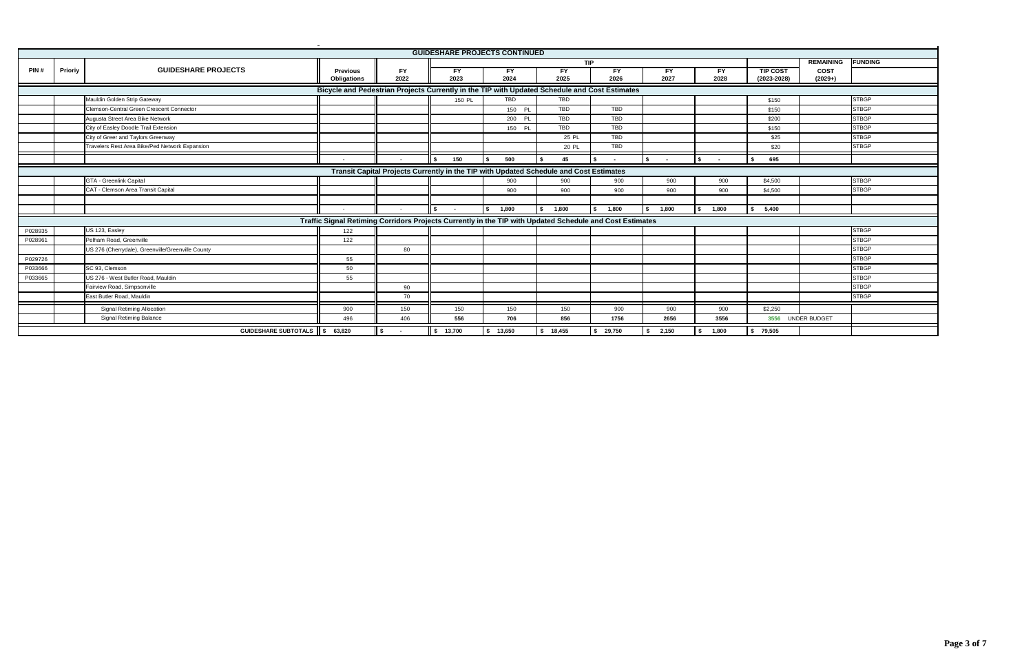|         | <b>GUIDESHARE PROJECTS CONTINUED</b>                                                   |                                                   |                                                                                                          |           |           |           |            |            |        |           |                 |                   |                |  |
|---------|----------------------------------------------------------------------------------------|---------------------------------------------------|----------------------------------------------------------------------------------------------------------|-----------|-----------|-----------|------------|------------|--------|-----------|-----------------|-------------------|----------------|--|
|         |                                                                                        |                                                   |                                                                                                          |           |           |           |            | <b>TIP</b> |        |           |                 | <b>REMAINING</b>  | <b>FUNDING</b> |  |
| PIN#    | Prioriy                                                                                | <b>GUIDESHARE PROJECTS</b>                        | <b>Previous</b>                                                                                          | <b>FY</b> | FY        | <b>FY</b> | FY         | FY         | FY     | <b>FY</b> | <b>TIP COST</b> | <b>COST</b>       |                |  |
|         |                                                                                        |                                                   | <b>Obligations</b>                                                                                       | 2022      | 2023      | 2024      | 2025       | 2026       | 2027   | 2028      | $(2023 - 2028)$ | $(2029+)$         |                |  |
|         |                                                                                        |                                                   | Bicycle and Pedestrian Projects Currently in the TIP with Updated Schedule and Cost Estimates            |           |           |           |            |            |        |           |                 |                   |                |  |
|         |                                                                                        | Mauldin Golden Strip Gateway                      |                                                                                                          |           | 150 PL    | TBD       | <b>TBD</b> |            |        |           | \$150           |                   | <b>STBGP</b>   |  |
|         |                                                                                        | <b>Clemson-Central Green Crescent Connector</b>   |                                                                                                          |           |           | 150 PL    | TBD        | TBD        |        |           | \$150           |                   | <b>STBGP</b>   |  |
|         |                                                                                        | Augusta Street Area Bike Network                  |                                                                                                          |           |           | 200 PL    | TBD        | TBD        |        |           | \$200           |                   | <b>STBGP</b>   |  |
|         |                                                                                        | City of Easley Doodle Trail Extension             |                                                                                                          |           |           | 150 PL    | TBD        | <b>TBD</b> |        |           | \$150           |                   | <b>STBGP</b>   |  |
|         |                                                                                        | City of Greer and Taylors Greenway                |                                                                                                          |           |           |           | 25 PL      | <b>TBD</b> |        |           | \$25            |                   | <b>STBGP</b>   |  |
|         |                                                                                        | Travelers Rest Area Bike/Ped Network Expansion    |                                                                                                          |           |           |           | 20 PL      | TBD        |        |           | \$20            |                   | <b>STBGP</b>   |  |
|         |                                                                                        |                                                   |                                                                                                          |           | 150       | 500       | 45         |            | $\sim$ |           | 695             |                   |                |  |
|         | Transit Capital Projects Currently in the TIP with Updated Schedule and Cost Estimates |                                                   |                                                                                                          |           |           |           |            |            |        |           |                 |                   |                |  |
|         |                                                                                        | GTA - Greenlink Capital                           |                                                                                                          |           |           | 900       | 900        | 900        | 900    | 900       | \$4,500         |                   | <b>STBGP</b>   |  |
|         |                                                                                        | CAT - Clemson Area Transit Capital                |                                                                                                          |           |           | 900       | 900        | 900        | 900    | 900       | \$4,500         |                   | <b>STBGP</b>   |  |
|         |                                                                                        |                                                   |                                                                                                          |           |           |           |            |            |        |           |                 |                   |                |  |
|         |                                                                                        |                                                   | $\sim$                                                                                                   | $\sim$    | $\sim$    | 1,800     | 1,800      | 1,800      | 1,800  | 1,800     | 5,400<br>s.     |                   |                |  |
|         |                                                                                        |                                                   | Traffic Signal Retiming Corridors Projects Currently in the TIP with Updated Schedule and Cost Estimates |           |           |           |            |            |        |           |                 |                   |                |  |
| P028935 |                                                                                        | US 123, Easley                                    | 122                                                                                                      |           |           |           |            |            |        |           |                 |                   | <b>STBGP</b>   |  |
| P028961 |                                                                                        | Pelham Road, Greenville                           | 122                                                                                                      |           |           |           |            |            |        |           |                 |                   | <b>STBGP</b>   |  |
|         |                                                                                        | US 276 (Cherrydale), Greenville/Greenville County |                                                                                                          | 80        |           |           |            |            |        |           |                 |                   | <b>STBGP</b>   |  |
| P029726 |                                                                                        |                                                   | 55                                                                                                       |           |           |           |            |            |        |           |                 |                   | <b>STBGP</b>   |  |
| P033666 |                                                                                        | SC 93, Clemson                                    | 50                                                                                                       |           |           |           |            |            |        |           |                 |                   | <b>STBGP</b>   |  |
| P033665 |                                                                                        | US 276 - West Butler Road, Mauldin                | 55                                                                                                       |           |           |           |            |            |        |           |                 |                   | <b>STBGP</b>   |  |
|         |                                                                                        | Fairview Road, Simpsonville                       |                                                                                                          | 90        |           |           |            |            |        |           |                 |                   | <b>STBGP</b>   |  |
|         |                                                                                        | East Butler Road, Mauldin                         |                                                                                                          | 70        |           |           |            |            |        |           |                 |                   | <b>STBGP</b>   |  |
|         |                                                                                        | <b>Signal Retiming Allocation</b>                 | 900                                                                                                      | 150       | 150       | 150       | 150        | 900        | 900    | 900       | \$2,250         |                   |                |  |
|         |                                                                                        | <b>Signal Retiming Balance</b>                    | 496                                                                                                      | 406       | 556       | 706       | 856        | 1756       | 2656   | 3556      |                 | 3556 UNDER BUDGET |                |  |
|         |                                                                                        | GUIDESHARE SUBTOTALS \$ 63,820                    |                                                                                                          |           | \$ 13,700 | \$ 13,650 | \$18,455   | \$29,750   | 2,150  | 1,800     | \$79,505        |                   |                |  |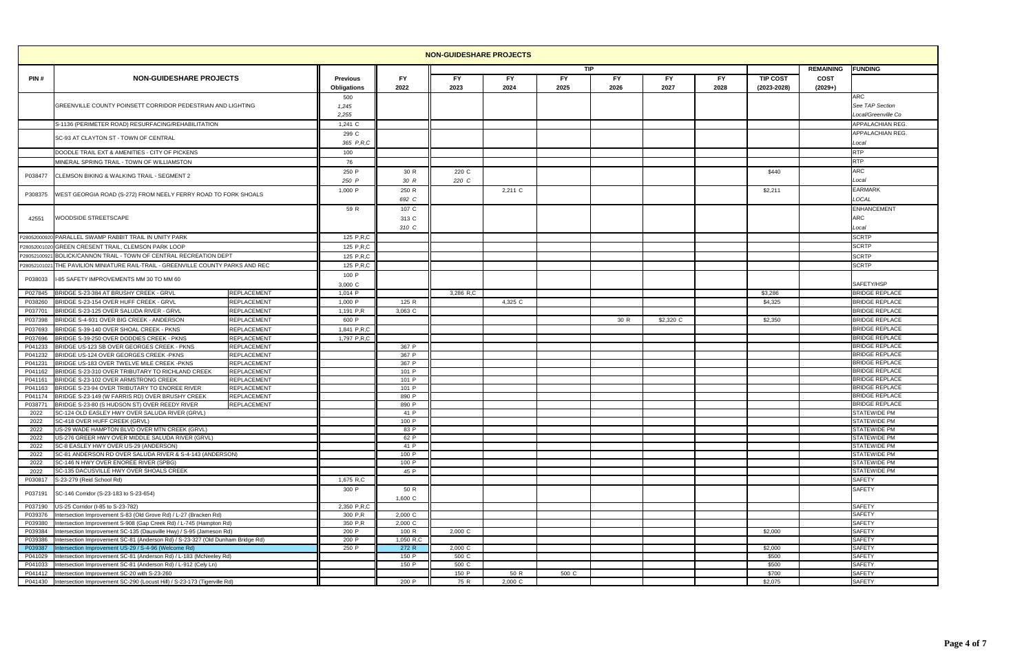| <b>NON-GUIDESHARE PROJECTS</b><br><b>TIP</b> |                                                                                  |                    |                 |                 |                |         |           |      |           |           |                 |                  |                                     |
|----------------------------------------------|----------------------------------------------------------------------------------|--------------------|-----------------|-----------------|----------------|---------|-----------|------|-----------|-----------|-----------------|------------------|-------------------------------------|
|                                              |                                                                                  |                    |                 |                 |                |         |           |      |           |           |                 | <b>REMAINING</b> | <b>FUNDING</b>                      |
| PIN#                                         | <b>NON-GUIDESHARE PROJECTS</b>                                                   |                    | <b>Previous</b> | FY              | FY             | FY      | <b>FY</b> | FY   | FY.       | <b>FY</b> | <b>TIP COST</b> | <b>COST</b>      |                                     |
|                                              |                                                                                  |                    | Obligations     | 2022            | 2023           | 2024    | 2025      | 2026 | 2027      | 2028      | $(2023 - 2028)$ | $(2029+)$        |                                     |
|                                              |                                                                                  |                    | 500             |                 |                |         |           |      |           |           |                 |                  | <b>ARC</b>                          |
|                                              | GREENVILLE COUNTY POINSETT CORRIDOR PEDESTRIAN AND LIGHTING                      |                    | 1,245           |                 |                |         |           |      |           |           |                 |                  | See TAP Section                     |
|                                              |                                                                                  |                    | 2,255           |                 |                |         |           |      |           |           |                 |                  | Local/Greenville Co                 |
|                                              | S-1136 (PERIMETER ROAD) RESURFACING/REHABILITATION                               |                    | $1,241$ C       |                 |                |         |           |      |           |           |                 |                  | APPALACHIAN REG.                    |
|                                              | SC-93 AT CLAYTON ST - TOWN OF CENTRAL                                            |                    | 299 C           |                 |                |         |           |      |           |           |                 |                  | <b>APPALACHIAN REG.</b>             |
|                                              |                                                                                  |                    | 365 P,R,C       |                 |                |         |           |      |           |           |                 |                  | Local<br><b>RTP</b>                 |
|                                              | DOODLE TRAIL EXT & AMENITIES - CITY OF PICKENS                                   |                    | 100             |                 |                |         |           |      |           |           |                 |                  | <b>RTP</b>                          |
|                                              | MINERAL SPRING TRAIL - TOWN OF WILLIAMSTON                                       |                    | 76              |                 |                |         |           |      |           |           |                 |                  | <b>ARC</b>                          |
| P038477                                      | CLEMSON BIKING & WALKING TRAIL - SEGMENT 2                                       |                    | 250 P<br>250 P  | 30 R<br>30 R    | 220 C<br>220 C |         |           |      |           |           | \$440           |                  | Local                               |
|                                              |                                                                                  |                    | $1,000$ P       | 250 R           |                | 2,211 C |           |      |           |           | \$2,211         |                  | <b>EARMARK</b>                      |
| P308375                                      | VEST GEORGIA ROAD (S-272) FROM NEELY FERRY ROAD TO FORK SHOALS                   |                    |                 | 692 C           |                |         |           |      |           |           |                 |                  | LOCAL                               |
|                                              |                                                                                  |                    | 59 R            | 107 C           |                |         |           |      |           |           |                 |                  | <b>ENHANCEMENT</b>                  |
| 42551                                        | <b>VOODSIDE STREETSCAPE</b>                                                      |                    |                 | 313 C           |                |         |           |      |           |           |                 |                  | <b>ARC</b>                          |
|                                              |                                                                                  |                    |                 | 310 C           |                |         |           |      |           |           |                 |                  | Local                               |
|                                              | P28052000920 PARALLEL SWAMP RABBIT TRAIL IN UNITY PARK                           |                    | 125 P,R,C       |                 |                |         |           |      |           |           |                 |                  | <b>SCRTP</b>                        |
|                                              | P28052001020 GREEN CRESENT TRAIL, CLEMSON PARK LOOP                              |                    | 125 P.R.C       |                 |                |         |           |      |           |           |                 |                  | <b>SCRTP</b>                        |
|                                              | P28052100921 BOLICK/CANNON TRAIL - TOWN OF CENTRAL RECREATION DEPT               |                    | 125 P,R,C       |                 |                |         |           |      |           |           |                 |                  | <b>SCRTP</b>                        |
| P2805210102                                  | THE PAVILION MINIATURE RAIL-TRAIL - GREENVILLE COUNTY PARKS AND REC              |                    | 125 P,R,C       |                 |                |         |           |      |           |           |                 |                  | <b>SCRTP</b>                        |
|                                              |                                                                                  |                    | 100 P           |                 |                |         |           |      |           |           |                 |                  |                                     |
| P038033                                      | I-85 SAFETY IMPROVEMENTS MM 30 TO MM 60                                          |                    | 3,000 C         |                 |                |         |           |      |           |           |                 |                  | SAFETY/HSP                          |
| P027845                                      | BRIDGE S-23-384 AT BRUSHY CREEK - GRVL                                           | <b>REPLACEMENT</b> | 1,014 P         |                 | 3,286 R.C      |         |           |      |           |           | \$3,286         |                  | <b>BRIDGE REPLACE</b>               |
| P038260                                      | BRIDGE S-23-154 OVER HUFF CREEK - GRVL                                           | REPLACEMENT        | 1,000 P         | 125 R           |                | 4,325 C |           |      |           |           | \$4,325         |                  | <b>BRIDGE REPLACE</b>               |
| P03770                                       | BRIDGE S-23-125 OVER SALUDA RIVER - GRVL                                         | REPLACEMENT        | 1,191 P,R       | 3,063 C         |                |         |           |      |           |           |                 |                  | <b>BRIDGE REPLACE</b>               |
| P037398                                      | BRIDGE S-4-931 OVER BIG CREEK - ANDERSON                                         | REPLACEMENT        | 600 P           |                 |                |         |           | 30 R | \$2,320 C |           | \$2,350         |                  | <b>BRIDGE REPLACE</b>               |
| P037693                                      | BRIDGE S-39-140 OVER SHOAL CREEK - PKNS                                          | REPLACEMENT        | 1,841 P,R,C     |                 |                |         |           |      |           |           |                 |                  | <b>BRIDGE REPLACE</b>               |
| P037696                                      | BRIDGE S-39-250 OVER DODDIES CREEK - PKNS                                        | REPLACEMENT        | 1,797 P.R.C     |                 |                |         |           |      |           |           |                 |                  | <b>BRIDGE REPLACE</b>               |
| P041233                                      | BRIDGE US-123 SB OVER GEORGES CREEK - PKNS                                       | REPLACEMENT        |                 | 367 P           |                |         |           |      |           |           |                 |                  | <b>BRIDGE REPLACE</b>               |
| P041232                                      | BRIDGE US-124 OVER GEORGES CREEK - PKNS                                          | REPLACEMENT        |                 | 367 P           |                |         |           |      |           |           |                 |                  | <b>BRIDGE REPLACE</b>               |
| P041231                                      | BRIDGE US-183 OVER TWELVE MILE CREEK -PKNS                                       | REPLACEMENT        |                 | 367 P           |                |         |           |      |           |           |                 |                  | <b>BRIDGE REPLACE</b>               |
| P041162                                      | BRIDGE S-23-310 OVER TRIBUTARY TO RICHLAND CREEK                                 | <b>REPLACEMENT</b> |                 | 101 P           |                |         |           |      |           |           |                 |                  | <b>BRIDGE REPLACE</b>               |
| P041161                                      | BRIDGE S-23-102 OVER ARMSTRONG CREEK                                             | REPLACEMENT        |                 | 101 P           |                |         |           |      |           |           |                 |                  | <b>BRIDGE REPLACE</b>               |
| P041163                                      | BRIDGE S-23-94 OVER TRIBUTARY TO ENOREE RIVER                                    | REPLACEMENT        |                 | 101 P           |                |         |           |      |           |           |                 |                  | <b>BRIDGE REPLACE</b>               |
| P041174                                      | BRIDGE S-23-149 (W FARRIS RD) OVER BRUSHY CREEK                                  | <b>REPLACEMENT</b> |                 | 890 P           |                |         |           |      |           |           |                 |                  | <b>BRIDGE REPLACE</b>               |
| P03877                                       | BRIDGE S-23-80 (S HUDSON ST) OVER REEDY RIVER                                    | <b>REPLACEMENT</b> |                 | 890 F           |                |         |           |      |           |           |                 |                  | <b>BRIDGE REPLACE</b>               |
| 2022                                         | SC-124 OLD EASLEY HWY OVER SALUDA RIVER (GRVL)                                   |                    |                 | 41 P            |                |         |           |      |           |           |                 |                  | <b>STATEWIDE PM</b>                 |
| 2022                                         | SC-418 OVER HUFF CREEK (GRVL)                                                    |                    |                 | 100 P           |                |         |           |      |           |           |                 |                  | <b>STATEWIDE PM</b>                 |
| 2022                                         | US-29 WADE HAMPTON BLVD OVER MTN CREEK (GRVL)                                    |                    |                 | 83 P            |                |         |           |      |           |           |                 |                  | <b>STATEWIDE PM</b>                 |
| 2022                                         | US-276 GREER HWY OVER MIDDLE SALUDA RIVER (GRVL)                                 |                    |                 | 62 P            |                |         |           |      |           |           |                 |                  | <b>STATEWIDE PM</b>                 |
| 2022                                         | SC-8 EASLEY HWY OVER US-29 (ANDERSON)                                            |                    |                 | 41 P            |                |         |           |      |           |           |                 |                  | <b>STATEWIDE PM</b>                 |
| 2022                                         | SC-81 ANDERSON RD OVER SALUDA RIVER & S-4-143 (ANDERSON)                         |                    |                 | 100 P           |                |         |           |      |           |           |                 |                  | <b>STATEWIDE PM</b>                 |
| 2022                                         | SC-146 N HWY OVER ENOREE RIVER (SPBG)<br>SC-135 DACUSVILLE HWY OVER SHOALS CREEK |                    |                 | 100 P           |                |         |           |      |           |           |                 |                  | <b>STATEWIDE PM</b><br>STATEWIDE PM |
| 2022                                         |                                                                                  |                    |                 | 45 P            |                |         |           |      |           |           |                 |                  |                                     |
| P030817                                      | S-23-279 (Reid School Rd)                                                        |                    | 1,675 R,C       |                 |                |         |           |      |           |           |                 |                  | <b>SAFETY</b><br>SAFETY             |
| P037191                                      | SC-146 Corridor (S-23-183 to S-23-654)                                           |                    | 300 P           | 50 R<br>1,600 C |                |         |           |      |           |           |                 |                  |                                     |
| P037190                                      | US-25 Corridor (I-85 to S-23-782)                                                |                    | 2,350 P.R.C     |                 |                |         |           |      |           |           |                 |                  | SAFETY                              |
| P039376                                      | Intersection Improvement S-83 (Old Grove Rd) / L-27 (Bracken Rd)                 |                    | 300 P.R         | 2,000 C         |                |         |           |      |           |           |                 |                  | <b>SAFETY</b>                       |
| P039380                                      | Intersection Improvement S-908 (Gap Creek Rd) / L-745 (Hampton Rd)               |                    | 350 P.R         | 2,000 C         |                |         |           |      |           |           |                 |                  | <b>SAFETY</b>                       |
| P039384                                      | ntersection Improvement SC-135 (Dausville Hwy) / S-95 (Jameson Rd)               |                    | 200 P           | 100 R           | 2,000 C        |         |           |      |           |           | \$2,000         |                  | <b>SAFETY</b>                       |
| P039386                                      | Intersection Improvement SC-81 (Anderson Rd) / S-23-327 (Old Dunham Bridge Rd)   |                    | 200 P           | 1,050 R,C       |                |         |           |      |           |           |                 |                  | <b>SAFETY</b>                       |
| P039387                                      | ntersection Improvement US-29 / S-4-96 (Welcome Rd)                              |                    | 250 P           | 272 R           | 2,000 C        |         |           |      |           |           | \$2,000         |                  | <b>SAFETY</b>                       |
| P041029                                      | Intersection Improvement SC-81 (Anderson Rd) / L-183 (McNeeley Rd)               |                    |                 | 150 P           | 500 C          |         |           |      |           |           | \$500           |                  | <b>SAFETY</b>                       |
| P041033                                      | Intersection Improvement SC-81 (Anderson Rd) / L-912 (Cely Ln)                   |                    |                 | 150 P           | 500 C          |         |           |      |           |           | \$500           |                  | <b>SAFETY</b>                       |
| P041412                                      | Intersection Improvement SC-20 with S-23-260                                     |                    |                 |                 | 150 P          | 50 R    | 500 C     |      |           |           | \$700           |                  | <b>SAFETY</b>                       |
|                                              | P041430 Intersection Improvement SC-290 (Locust Hill) / S-23-173 (Tigerville Rd) |                    |                 | 200 P           | 75 R           | 2,000 C |           |      |           |           | \$2,075         |                  | SAFETY                              |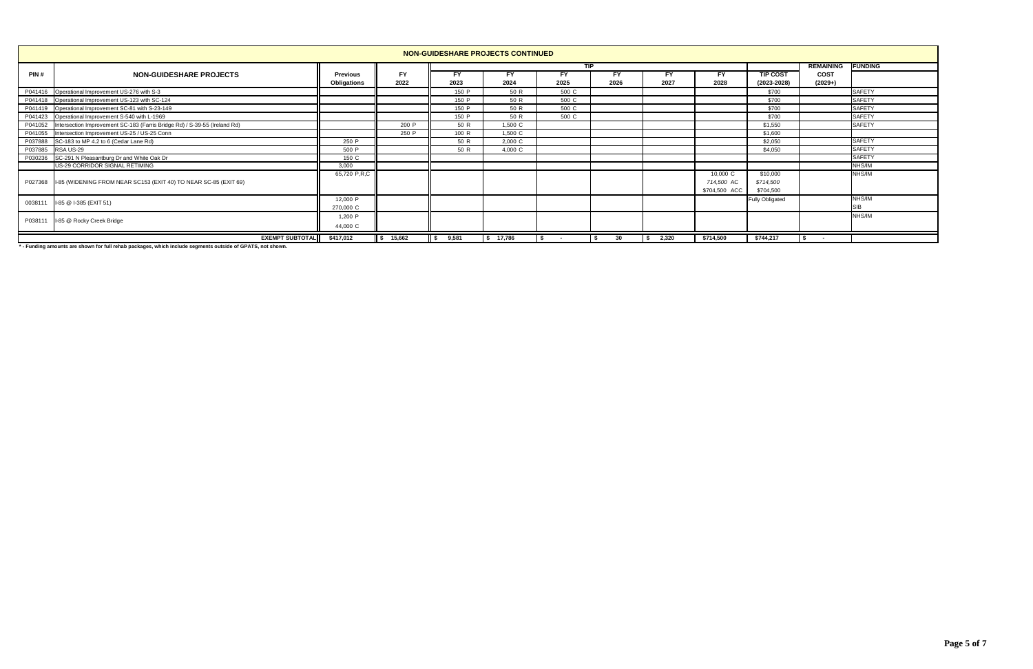|         | NON-GUIDESHARE PROJECTS CONTINUED                                                 |                 |           |             |           |            |           |       |               |                        |                  |                |  |  |
|---------|-----------------------------------------------------------------------------------|-----------------|-----------|-------------|-----------|------------|-----------|-------|---------------|------------------------|------------------|----------------|--|--|
|         |                                                                                   |                 |           |             |           | <b>TIP</b> |           |       |               |                        | <b>REMAINING</b> | <b>FUNDING</b> |  |  |
| PIN#    | <b>NON-GUIDESHARE PROJECTS</b>                                                    | <b>Previous</b> | <b>FY</b> | <b>FY</b>   | FΥ        | FY.        | <b>FY</b> | FY    | FY            | <b>TIP COST</b>        | <b>COST</b>      |                |  |  |
|         |                                                                                   | Obligations     | 2022      | 2023        | 2024      | 2025       | 2026      | 2027  | 2028          | $(2023 - 2028)$        | $(2029+)$        |                |  |  |
|         | P041416 Operational Improvement US-276 with S-3                                   |                 |           | 150 P       | 50 R      | 500 C      |           |       |               | \$700                  |                  | <b>SAFETY</b>  |  |  |
|         | P041418 Operational Improvement US-123 with SC-124                                |                 |           | 150 P       | 50 R      | 500 C      |           |       |               | \$700                  |                  | <b>SAFETY</b>  |  |  |
|         | P041419 Operational Improvement SC-81 with S-23-149                               |                 |           | 150 P       | 50 R      | 500 C      |           |       |               | \$700                  |                  | <b>SAFETY</b>  |  |  |
|         | P041423 Operational Improvement S-540 with L-1969                                 |                 |           | 150 P       | 50 R      | 500 C      |           |       |               | \$700                  |                  | <b>SAFETY</b>  |  |  |
|         | P041052 Intersection Improvement SC-183 (Farris Bridge Rd) / S-39-55 (Ireland Rd) |                 | 200 P     | 50 R        | 1,500 C   |            |           |       |               | \$1,550                |                  | <b>SAFETY</b>  |  |  |
|         | P041055 Intersection Improvement US-25 / US-25 Conn                               |                 | 250 P     | 100 R       | 1,500 C   |            |           |       |               | \$1,600                |                  |                |  |  |
|         | P037888 SC-183 to MP 4.2 to 6 (Cedar Lane Rd)                                     | 250 P           |           | 50 R        | 2,000 C   |            |           |       |               | \$2,050                |                  | <b>SAFETY</b>  |  |  |
| P037885 | RSA US-29                                                                         | 500 P           |           | 50 R        | 4,000 C   |            |           |       |               | \$4,050                |                  | <b>SAFETY</b>  |  |  |
| P030236 | SC-291 N Pleasantburg Dr and White Oak Dr                                         | 150 C           |           |             |           |            |           |       |               |                        |                  | <b>SAFETY</b>  |  |  |
|         | US-29 CORRIDOR SIGNAL RETIMING                                                    | 3,000           |           |             |           |            |           |       |               |                        |                  | NHS/IM         |  |  |
|         |                                                                                   | 65,720 P,R,C    |           |             |           |            |           |       | 10,000 C      | \$10,000               |                  | NHS/IM         |  |  |
|         | P027368 II-85 (WIDENING FROM NEAR SC153 (EXIT 40) TO NEAR SC-85 (EXIT 69)         |                 |           |             |           |            |           |       | 714,500 AC    | \$714,500              |                  |                |  |  |
|         |                                                                                   |                 |           |             |           |            |           |       | \$704,500 ACC | \$704,500              |                  |                |  |  |
| 0038111 | I-85 @ I-385 (EXIT 51)                                                            | 12,000 P        |           |             |           |            |           |       |               | <b>Fully Obligated</b> |                  | NHS/IM         |  |  |
|         |                                                                                   | 270,000 C       |           |             |           |            |           |       |               |                        |                  | <b>SIB</b>     |  |  |
|         |                                                                                   | 1,200 P         |           |             |           |            |           |       |               |                        |                  | NHS/IM         |  |  |
| P038111 | I-85 @ Rocky Creek Bridge                                                         | 44,000 C        |           |             |           |            |           |       |               |                        |                  |                |  |  |
|         | <b>EXEMPT SUBTOTAL</b>                                                            | \$417,012       | \$ 15,662 | 9.581<br>\$ | \$ 17,786 |            | 30        | 2.320 | \$714,500     | \$744,217              |                  |                |  |  |

**\* - Funding amounts are shown for full rehab packages, which include segments outside of GPATS, not shown.**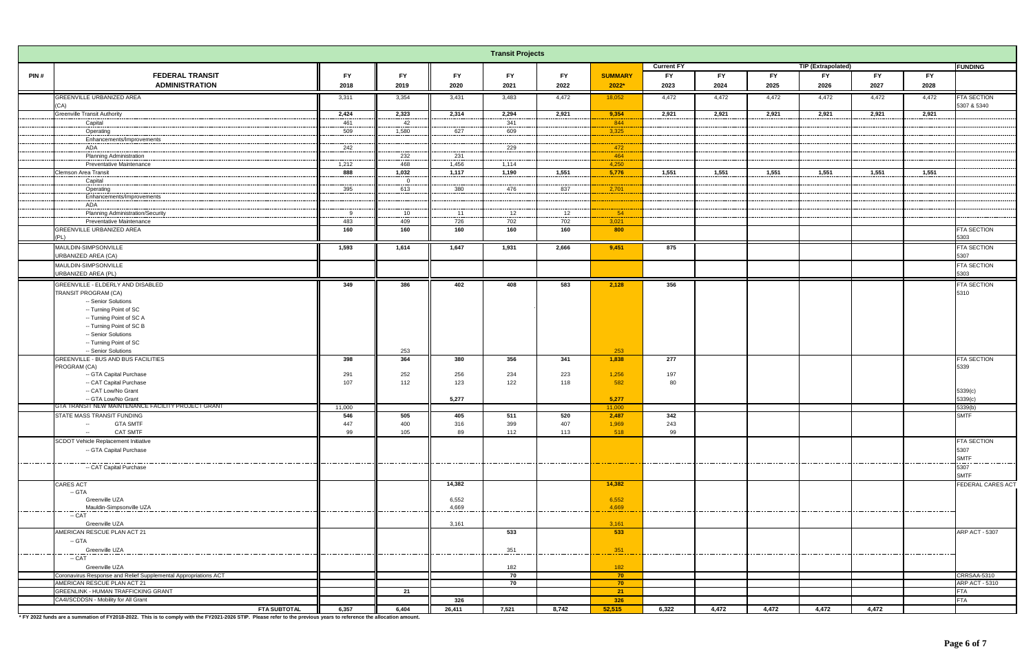|         |                                                                           |           |                |              | <b>Transit Projects</b> |                |                 |                   |           |           |                    |           |           |                            |
|---------|---------------------------------------------------------------------------|-----------|----------------|--------------|-------------------------|----------------|-----------------|-------------------|-----------|-----------|--------------------|-----------|-----------|----------------------------|
|         |                                                                           |           |                |              |                         |                |                 | <b>Current FY</b> |           |           | TIP (Extrapolated) |           |           | <b>FUNDING</b>             |
| PIN#    | <b>FEDERAL TRANSIT</b>                                                    | <b>FY</b> | <b>FY</b>      | <b>FY</b>    | FY.                     | <b>FY</b>      | <b>SUMMARY</b>  | <b>FY</b>         | <b>FY</b> | <b>FY</b> | <b>FY</b>          | <b>FY</b> | <b>FY</b> |                            |
|         | <b>ADMINISTRATION</b>                                                     | 2018      | 2019           | 2020         | 2021                    | 2022           | $2022*$         | 2023              | 2024      | 2025      | 2026               | 2027      | 2028      |                            |
|         | GREENVILLE URBANIZED AREA                                                 | 3,311     | 3,354          | 3,431        | 3,483                   | 4,472          | 18,052          | 4,472             | 4,472     | 4,472     | 4,472              | 4,472     | 4,472     | <b>FTA SECTION</b>         |
|         | (CA)                                                                      |           |                |              |                         |                |                 |                   |           |           |                    |           |           | 5307 & 5340                |
|         | <b>Greenville Transit Authority</b>                                       | 2,424     | 2,323          | 2,314        | 2,294                   | 2,921          | 9,354           | 2,921             | 2,921     | 2,921     | 2,921              | 2,921     | 2,921     |                            |
|         | Capital                                                                   | 461       | 42             |              | 341                     |                | 844             |                   |           |           |                    |           |           |                            |
|         | Operating                                                                 | 509       | 1,580          | 627          | 609                     |                | 3,325           |                   |           |           |                    |           |           |                            |
|         | Enhancements/Improvements                                                 |           |                |              |                         |                |                 |                   |           |           |                    |           |           |                            |
|         | ADA                                                                       | 242       |                |              | 229                     |                | 472<br>464      |                   |           |           |                    |           |           |                            |
|         | <b>Planning Administration</b><br><b>Preventative Maintenance</b>         | 1,212     | 232<br>468     | 231<br>1,456 | 1,114                   |                | 4,250           |                   |           |           |                    |           |           |                            |
|         | Clemson Area Transit                                                      | 888       | 1,032          | 1,117        | 1,190                   | 1,551          | 5,776           | 1,551             | 1,551     | 1,551     | 1,551              | 1,551     | 1,551     |                            |
|         | Capital                                                                   |           | $\overline{0}$ |              |                         |                |                 |                   |           |           |                    |           |           |                            |
|         | Operating                                                                 | 395       | 613            | 380          | 476                     | 837            | 2,701           |                   |           |           |                    |           |           |                            |
|         | Enhancements/Improvements                                                 |           |                |              |                         |                |                 |                   |           |           |                    |           |           |                            |
|         | ADA                                                                       |           |                |              |                         |                |                 |                   |           |           |                    |           |           |                            |
|         | <b>Planning Administration/Security</b>                                   | 9         | 10             | 11           | 12                      | 12             | 54              |                   |           |           |                    |           |           |                            |
|         | <b>Preventative Maintenance</b>                                           | 483       | 409            | 726          | 702                     | 702            | 3,021           |                   |           |           |                    |           |           |                            |
|         | GREENVILLE URBANIZED AREA                                                 | 160       | 160            | 160          | 160                     | 160            | 800             |                   |           |           |                    |           |           | <b>FTA SECTION</b><br>5303 |
|         | (PL)                                                                      |           |                |              |                         |                |                 |                   |           |           |                    |           |           |                            |
|         | MAULDIN-SIMPSONVILLE                                                      | 1,593     | 1,614          | 1,647        | 1,931                   | 2,666          | 9,451           | 875               |           |           |                    |           |           | <b>FTA SECTION</b>         |
|         | <b>URBANIZED AREA (CA)</b>                                                |           |                |              |                         |                |                 |                   |           |           |                    |           |           | 5307                       |
|         | MAULDIN-SIMPSONVILLE                                                      |           |                |              |                         |                |                 |                   |           |           |                    |           |           | FTA SECTION                |
|         | URBANIZED AREA (PL)                                                       |           |                |              |                         |                |                 |                   |           |           |                    |           |           | 5303                       |
|         | GREENVILLE - ELDERLY AND DISABLED                                         | 349       | 386            | 402          | 408                     | 583            | 2,128           | 356               |           |           |                    |           |           | FTA SECTION                |
|         | TRANSIT PROGRAM (CA)                                                      |           |                |              |                         |                |                 |                   |           |           |                    |           |           | 5310                       |
|         | -- Senior Solutions                                                       |           |                |              |                         |                |                 |                   |           |           |                    |           |           |                            |
|         | -- Turning Point of SC<br>-- Turning Point of SC A                        |           |                |              |                         |                |                 |                   |           |           |                    |           |           |                            |
|         | -- Turning Point of SC B                                                  |           |                |              |                         |                |                 |                   |           |           |                    |           |           |                            |
|         | -- Senior Solutions                                                       |           |                |              |                         |                |                 |                   |           |           |                    |           |           |                            |
|         | -- Turning Point of SC                                                    |           |                |              |                         |                |                 |                   |           |           |                    |           |           |                            |
|         | -- Senior Solutions                                                       |           | 253            |              |                         |                | 253             |                   |           |           |                    |           |           |                            |
|         | <b>GREENVILLE - BUS AND BUS FACILITIES</b>                                | 398       | 364            | 380          | 356                     | 341            | 1,838           | 277               |           |           |                    |           |           | <b>FTA SECTION</b>         |
|         | PROGRAM (CA)                                                              |           |                |              |                         |                |                 |                   |           |           |                    |           |           | 5339                       |
|         | -- GTA Capital Purchase                                                   | 291       | 252            | 256          | 234                     | 223            | 1,256           | 197               |           |           |                    |           |           |                            |
|         | -- CAT Capital Purchase<br>-- CAT Low/No Grant                            | 107       | 112            | 123          | 122                     | 118            | 582             | 80                |           |           |                    |           |           |                            |
|         |                                                                           |           |                | 5,277        |                         |                |                 |                   |           |           |                    |           |           | 5339(c)<br>5339(c)         |
|         | -- GTA Low/No Grant<br>GTA TRANSIT NEW MAINTENANCE FACILITY PROJECT GRANT | 11,000    |                |              |                         |                | 5,277<br>11.000 |                   |           |           |                    |           |           | 5339(b)                    |
|         | STATE MASS TRANSIT FUNDING                                                | 546       | 505            | 405          | 511                     | 520            | 2,487           | 342               |           |           |                    |           |           | <b>SMTF</b>                |
|         | -- GTA SMTF                                                               | 447       | 400            | 316          | 399                     | 407            | 1,969           | 243               |           |           |                    |           |           |                            |
|         | <b>CAT SMTF</b><br>$\sim$                                                 | 99        | 105            | 89           | 112                     | 113            | 518             | 99                |           |           |                    |           |           |                            |
|         | <b>SCDOT Vehicle Replacement Initiative</b>                               |           |                |              |                         |                |                 |                   |           |           |                    |           |           | FTA SECTION                |
|         | -- GTA Capital Purchase                                                   |           |                |              |                         |                |                 |                   |           |           |                    |           |           | 5307                       |
|         |                                                                           |           |                |              |                         |                |                 |                   |           |           |                    |           |           | <b>SMTF</b>                |
| ------- | -- CAT Capital Purchase                                                   |           |                |              |                         |                |                 |                   |           |           |                    |           |           | 5307                       |
|         |                                                                           |           |                |              |                         |                |                 |                   |           |           |                    |           |           | <b>SMTF</b>                |
|         | <b>CARES ACT</b>                                                          |           |                | 14,382       |                         |                | 14,382          |                   |           |           |                    |           |           | FEDERAL CARES ACT          |
|         | -- GTA                                                                    |           |                |              |                         |                |                 |                   |           |           |                    |           |           |                            |
|         | Greenville UZA                                                            |           |                | 6,552        |                         |                | 6,552           |                   |           |           |                    |           |           |                            |
|         | $-$ CAT                                                                   |           |                | $-1.4,669$   |                         |                | $-1.4669$       | --------------    |           |           | _____________      |           |           |                            |
|         | Greenville UZA                                                            |           |                | 3,161        |                         |                | 3,161           |                   |           |           |                    |           |           |                            |
|         | AMERICAN RESCUE PLAN ACT 21                                               |           |                |              | 533                     |                | 533             |                   |           |           |                    |           |           | <b>ARP ACT - 5307</b>      |
|         | -- GTA                                                                    |           |                |              |                         |                |                 |                   |           |           |                    |           |           |                            |
|         | Greenville UZA                                                            |           |                |              | 351                     |                | 351             |                   |           |           |                    |           |           |                            |
|         | -- CAT                                                                    |           |                |              | ---------------         | ______________ | -------         | --------------    |           |           |                    |           |           |                            |
|         | Greenville UZA                                                            |           |                |              | 182                     |                | 182             |                   |           |           |                    |           |           |                            |
|         | Coronavirus Response and Relief Supplemental Appropriations ACT           |           |                |              | 70                      |                | $-70$           |                   |           |           |                    |           |           | CRRSAA-5310                |
|         | AMERICAN RESCUE PLAN ACT 21                                               |           |                |              | 70                      |                | 70              |                   |           |           |                    |           |           | ARP ACT - 5310             |
|         | <b>GREENLINK - HUMAN TRAFFICKING GRANT</b>                                |           | 21             |              |                         |                | 21              |                   |           |           |                    |           |           | <b>FTA</b>                 |
|         | CA4I/SCDDSN - Mobility for All Grant                                      |           |                | 326          |                         |                | 326             |                   |           |           |                    |           |           | <b>FTA</b>                 |
|         | <b>FTA SUBTOTAL</b>                                                       | 6,357     | 6,404          | 26,411       | 7,521                   | 8,742          | 52,515          | 6,322             | 4,472     | 4,472     | 4,472              | 4,472     |           |                            |

**\* FY 2022 funds are a summation of FY2018-2022. This is to comply with the FY2021-2026 STIP. Please refer to the previous years to reference the allocation amount.**